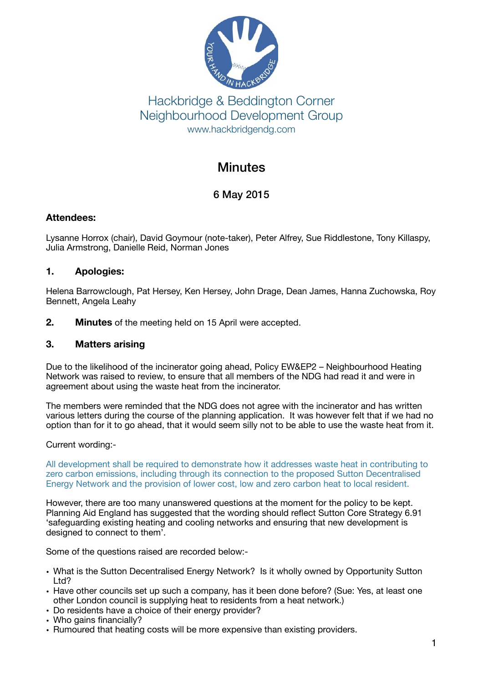

# Hackbridge & Beddington Corner Neighbourhood Development Group www.hackbridgendg.com

# **Minutes**

# 6 May 2015

### **Attendees:**

Lysanne Horrox (chair), David Goymour (note-taker), Peter Alfrey, Sue Riddlestone, Tony Killaspy, Julia Armstrong, Danielle Reid, Norman Jones

## **1. Apologies:**

Helena Barrowclough, Pat Hersey, Ken Hersey, John Drage, Dean James, Hanna Zuchowska, Roy Bennett, Angela Leahy

**2. Minutes** of the meeting held on 15 April were accepted.

## **3. Matters arising**

Due to the likelihood of the incinerator going ahead, Policy EW&EP2 – Neighbourhood Heating Network was raised to review, to ensure that all members of the NDG had read it and were in agreement about using the waste heat from the incinerator.

The members were reminded that the NDG does not agree with the incinerator and has written various letters during the course of the planning application. It was however felt that if we had no option than for it to go ahead, that it would seem silly not to be able to use the waste heat from it.

Current wording:-

All development shall be required to demonstrate how it addresses waste heat in contributing to zero carbon emissions, including through its connection to the proposed Sutton Decentralised Energy Network and the provision of lower cost, low and zero carbon heat to local resident.

However, there are too many unanswered questions at the moment for the policy to be kept. Planning Aid England has suggested that the wording should reflect Sutton Core Strategy 6.91 'safeguarding existing heating and cooling networks and ensuring that new development is designed to connect to them'.

Some of the questions raised are recorded below:-

- What is the Sutton Decentralised Energy Network? Is it wholly owned by Opportunity Sutton Ltd?
- Have other councils set up such a company, has it been done before? (Sue: Yes, at least one other London council is supplying heat to residents from a heat network.)
- Do residents have a choice of their energy provider?
- Who gains financially?
- Rumoured that heating costs will be more expensive than existing providers.